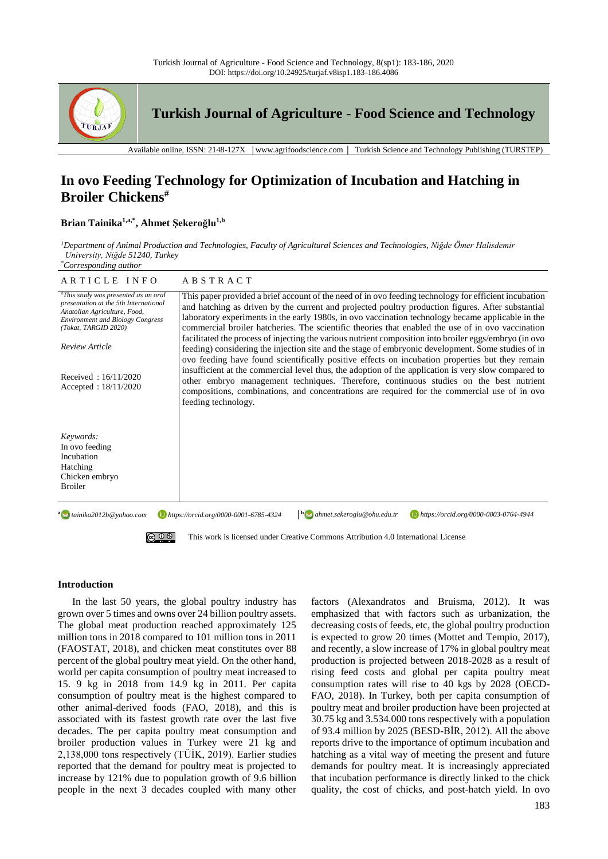

# **In ovo Feeding Technology for Optimization of Incubation and Hatching in Broiler Chickens#**

# **Brian Tainika1,a,\*, Ahmet Şekeroğlu1,b**

*<sup>1</sup>Department of Animal Production and Technologies, Faculty of Agricultural Sciences and Technologies, Niğde Ömer Halisdemir University, Niğde 51240, Turkey \*Corresponding author*

| ARTICLE INFO                                                                                                                                                                                       | ABSTRACT                                                                                                                                                                                                                                                                                                                                                                                                                                                                                                                                                                                                                             |
|----------------------------------------------------------------------------------------------------------------------------------------------------------------------------------------------------|--------------------------------------------------------------------------------------------------------------------------------------------------------------------------------------------------------------------------------------------------------------------------------------------------------------------------------------------------------------------------------------------------------------------------------------------------------------------------------------------------------------------------------------------------------------------------------------------------------------------------------------|
| "This study was presented as an oral<br>presentation at the 5th International<br>Anatolian Agriculture, Food,<br><b>Environment and Biology Congress</b><br>(Tokat, TARGID 2020)<br>Review Article | This paper provided a brief account of the need of in ovo feeding technology for efficient incubation<br>and hatching as driven by the current and projected poultry production figures. After substantial<br>laboratory experiments in the early 1980s, in ovo vaccination technology became applicable in the<br>commercial broiler hatcheries. The scientific theories that enabled the use of in ovo vaccination<br>facilitated the process of injecting the various nutrient composition into broiler eggs/embryo (in ovo<br>feeding) considering the injection site and the stage of embryonic development. Some studies of in |
| Received: $16/11/2020$<br>Accepted: $18/11/2020$                                                                                                                                                   | ovo feeding have found scientifically positive effects on incubation properties but they remain<br>insufficient at the commercial level thus, the adoption of the application is very slow compared to<br>other embryo management techniques. Therefore, continuous studies on the best nutrient<br>compositions, combinations, and concentrations are required for the commercial use of in ovo<br>feeding technology.                                                                                                                                                                                                              |
| Keywords:<br>In ovo feeding<br>Incubation<br>Hatching<br>Chicken embryo<br><b>Broiler</b>                                                                                                          |                                                                                                                                                                                                                                                                                                                                                                                                                                                                                                                                                                                                                                      |
| $\mathbf{b}$ ahmet.sekeroglu@ohu.edu.tr<br>https://orcid.org/0000-0003-0764-4944<br>$a \rightarrow t$ ainika2012b@yahoo.com<br>https://orcid.org/0000-0001-6785-4324                               |                                                                                                                                                                                                                                                                                                                                                                                                                                                                                                                                                                                                                                      |
| This work is licensed under Creative Commons Attribution 4.0 International License                                                                                                                 |                                                                                                                                                                                                                                                                                                                                                                                                                                                                                                                                                                                                                                      |

## **Introduction**

In the last 50 years, the global poultry industry has grown over 5 times and owns over 24 billion poultry assets. The global meat production reached approximately 125 million tons in 2018 compared to 101 million tons in 2011 (FAOSTAT, 2018), and chicken meat constitutes over 88 percent of the global poultry meat yield. On the other hand, world per capita consumption of poultry meat increased to 15. 9 kg in 2018 from 14.9 kg in 2011. Per capita consumption of poultry meat is the highest compared to other animal-derived foods (FAO, 2018), and this is associated with its fastest growth rate over the last five decades. The per capita poultry meat consumption and broiler production values in Turkey were 21 kg and 2,138,000 tons respectively (TÜİK, 2019). Earlier studies reported that the demand for poultry meat is projected to increase by 121% due to population growth of 9.6 billion people in the next 3 decades coupled with many other factors (Alexandratos and Bruisma, 2012). It was emphasized that with factors such as urbanization, the decreasing costs of feeds, etc, the global poultry production is expected to grow 20 times (Mottet and Tempio, 2017), and recently, a slow increase of 17% in global poultry meat production is projected between 2018-2028 as a result of rising feed costs and global per capita poultry meat consumption rates will rise to 40 kgs by 2028 (OECD-FAO, 2018). In Turkey, both per capita consumption of poultry meat and broiler production have been projected at 30.75 kg and 3.534.000 tons respectively with a population of 93.4 million by 2025 (BESD-BİR, 2012). All the above reports drive to the importance of optimum incubation and hatching as a vital way of meeting the present and future demands for poultry meat. It is increasingly appreciated that incubation performance is directly linked to the chick quality, the cost of chicks, and post-hatch yield. In ovo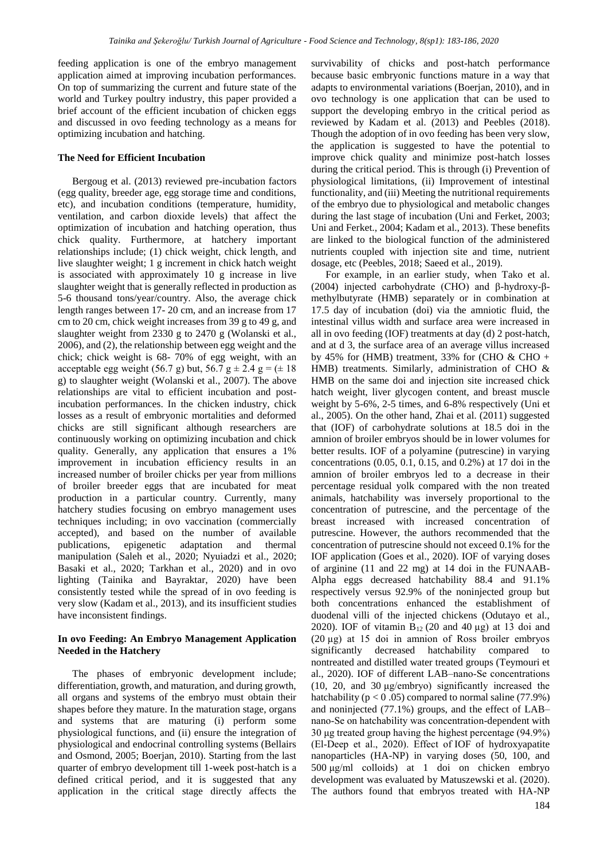feeding application is one of the embryo management application aimed at improving incubation performances. On top of summarizing the current and future state of the world and Turkey poultry industry, this paper provided a brief account of the efficient incubation of chicken eggs and discussed in ovo feeding technology as a means for optimizing incubation and hatching.

#### **The Need for Efficient Incubation**

Bergoug et al. (2013) reviewed pre-incubation factors (egg quality, breeder age, egg storage time and conditions, etc), and incubation conditions (temperature, humidity, ventilation, and carbon dioxide levels) that affect the optimization of incubation and hatching operation, thus chick quality. Furthermore, at hatchery important relationships include; (1) chick weight, chick length, and live slaughter weight; 1 g increment in chick hatch weight is associated with approximately 10 g increase in live slaughter weight that is generally reflected in production as 5-6 thousand tons/year/country. Also, the average chick length ranges between 17- 20 cm, and an increase from 17 cm to 20 cm, chick weight increases from 39 g to 49 g, and slaughter weight from 2330 g to 2470 g (Wolanski et al., 2006), and (2), the relationship between egg weight and the chick; chick weight is 68- 70% of egg weight, with an acceptable egg weight (56.7 g) but, 56.7 g  $\pm$  2.4 g = ( $\pm$  18 g) to slaughter weight (Wolanski et al., 2007). The above relationships are vital to efficient incubation and postincubation performances. In the chicken industry, chick losses as a result of embryonic mortalities and deformed chicks are still significant although researchers are continuously working on optimizing incubation and chick quality. Generally, any application that ensures a 1% improvement in incubation efficiency results in an increased number of broiler chicks per year from millions of broiler breeder eggs that are incubated for meat production in a particular country. Currently, many hatchery studies focusing on embryo management uses techniques including; in ovo vaccination (commercially accepted), and based on the number of available publications, epigenetic adaptation and thermal manipulation (Saleh et al., 2020; Nyuiadzi et al., 2020; Basaki et al., 2020; Tarkhan et al., 2020) and in ovo lighting (Tainika and Bayraktar, 2020) have been consistently tested while the spread of in ovo feeding is very slow (Kadam et al., 2013), and its insufficient studies have inconsistent findings.

# **In ovo Feeding: An Embryo Management Application Needed in the Hatchery**

The phases of embryonic development include; differentiation, growth, and maturation, and during growth, all organs and systems of the embryo must obtain their shapes before they mature. In the maturation stage, organs and systems that are maturing (i) perform some physiological functions, and (ii) ensure the integration of physiological and endocrinal controlling systems (Bellairs and Osmond, 2005; Boerjan, 2010). Starting from the last quarter of embryo development till 1-week post-hatch is a defined critical period, and it is suggested that any application in the critical stage directly affects the

survivability of chicks and post-hatch performance because basic embryonic functions mature in a way that adapts to environmental variations (Boerjan, 2010), and in ovo technology is one application that can be used to support the developing embryo in the critical period as reviewed by Kadam et al. (2013) and Peebles (2018). Though the adoption of in ovo feeding has been very slow, the application is suggested to have the potential to improve chick quality and minimize post-hatch losses during the critical period. This is through (i) Prevention of physiological limitations, (ii) Improvement of intestinal functionality, and (iii) Meeting the nutritional requirements of the embryo due to physiological and metabolic changes during the last stage of incubation (Uni and Ferket, 2003; Uni and Ferket., 2004; Kadam et al., 2013). These benefits are linked to the biological function of the administered nutrients coupled with injection site and time, nutrient dosage, etc (Peebles, 2018; Saeed et al., 2019).

For example, in an earlier study, when Tako et al. (2004) injected carbohydrate (CHO) and β-hydroxy-βmethylbutyrate (HMB) separately or in combination at 17.5 day of incubation (doi) via the amniotic fluid, the intestinal villus width and surface area were increased in all in ovo feeding (IOF) treatments at day (d) 2 post-hatch, and at d 3, the surface area of an average villus increased by 45% for (HMB) treatment, 33% for (CHO  $\&$  CHO + HMB) treatments. Similarly, administration of CHO & HMB on the same doi and injection site increased chick hatch weight, liver glycogen content, and breast muscle weight by 5-6%, 2-5 times, and 6-8% respectively (Uni et al., 2005). On the other hand, Zhai et al. (2011) suggested that (IOF) of carbohydrate solutions at 18.5 doi in the amnion of broiler embryos should be in lower volumes for better results. IOF of a polyamine (putrescine) in varying concentrations (0.05, 0.1, 0.15, and 0.2%) at 17 doi in the amnion of broiler embryos led to a decrease in their percentage residual yolk compared with the non treated animals, hatchability was inversely proportional to the concentration of putrescine, and the percentage of the breast increased with increased concentration of putrescine. However, the authors recommended that the concentration of putrescine should not exceed 0.1% for the IOF application (Goes et al., 2020). IOF of varying doses of arginine (11 and 22 mg) at 14 doi in the FUNAAB-Alpha eggs decreased hatchability 88.4 and 91.1% respectively versus 92.9% of the noninjected group but both concentrations enhanced the establishment of duodenal villi of the injected chickens (Odutayo et al., 2020). IOF of vitamin  $B_{12}$  (20 and 40 µg) at 13 doi and (20 µg) at 15 doi in amnion of Ross broiler embryos significantly decreased hatchability compared to nontreated and distilled water treated groups (Teymouri et al., 2020). IOF of different LAB–nano‐Se concentrations (10, 20, and 30 μg/embryo) significantly increased the hatchability ( $p < 0.05$ ) compared to normal saline (77.9%) and noninjected (77.1%) groups, and the effect of LAB– nano‐Se on hatchability was concentration-dependent with 30 μg treated group having the highest percentage (94.9%) (El‐Deep et al., 2020). Effect of IOF of hydroxyapatite nanoparticles (HA-NP) in varying doses (50, 100, and 500 μg/ml colloids) at 1 doi on chicken embryo development was evaluated by Matuszewski et al. (2020). The authors found that embryos treated with HA-NP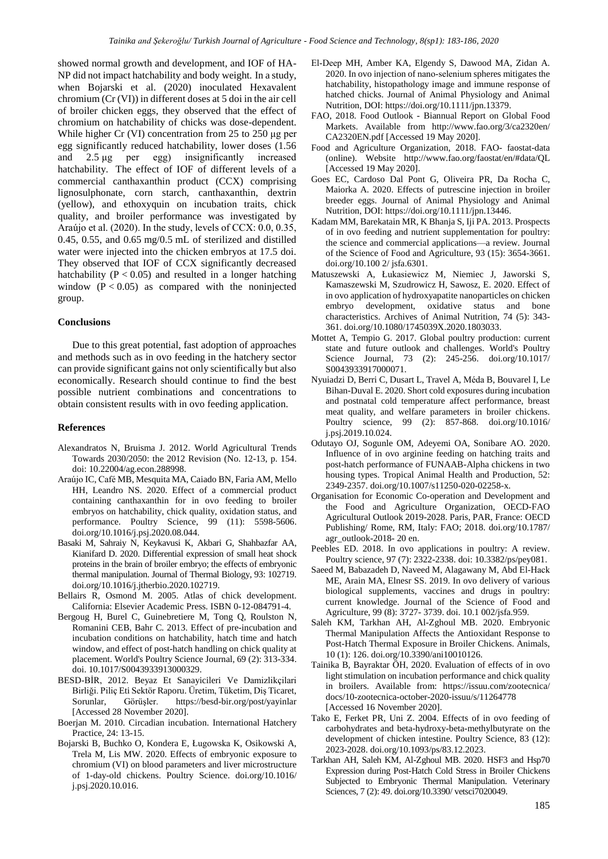showed normal growth and development, and IOF of HA-NP did not impact hatchability and body weight. In a study, when Bojarski et al. (2020) inoculated Hexavalent chromium (Cr (VI)) in different doses at 5 doi in the air cell of broiler chicken eggs, they observed that the effect of chromium on hatchability of chicks was dose-dependent. While higher Cr (VI) concentration from 25 to 250 μg per egg significantly reduced hatchability, lower doses (1.56 and 2.5 μg per egg) insignificantly increased hatchability. The effect of IOF of different levels of a commercial canthaxanthin product (CCX) comprising lignosulphonate, corn starch, canthaxanthin, dextrin (yellow), and ethoxyquin on incubation traits, chick quality, and broiler performance was investigated by Araújo et al. (2020). In the study, levels of CCX: 0.0, 0.35, 0.45, 0.55, and 0.65 mg/0.5 mL of sterilized and distilled water were injected into the chicken embryos at 17.5 doi. They observed that IOF of CCX significantly decreased hatchability ( $P < 0.05$ ) and resulted in a longer hatching window  $(P < 0.05)$  as compared with the noninjected group.

## **Conclusions**

Due to this great potential, fast adoption of approaches and methods such as in ovo feeding in the hatchery sector can provide significant gains not only scientifically but also economically. Research should continue to find the best possible nutrient combinations and concentrations to obtain consistent results with in ovo feeding application.

#### **References**

- Alexandratos N, Bruisma J. 2012. World Agricultural Trends Towards 2030/2050: the 2012 Revision (No. 12-13, p. 154. doi: 10.22004/ag.econ.288998.
- Araújo IC, Café MB, Mesquita MA, Caiado BN, Faria AM, Mello HH, Leandro NS. 2020. Effect of a commercial product containing canthaxanthin for in ovo feeding to broiler embryos on hatchability, chick quality, oxidation status, and performance. Poultry Science, 99 (11): 5598-5606. doi.org/10.1016/j.psj.2020.08.044.
- Basaki M, Sahraiy N, Keykavusi K, Akbari G, Shahbazfar AA, Kianifard D. 2020. Differential expression of small heat shock proteins in the brain of broiler embryo; the effects of embryonic thermal manipulation. Journal of Thermal Biology, 93: 102719. doi.org/10.1016/j.jtherbio.2020.102719.
- Bellairs R, Osmond M. 2005. Atlas of chick development. California: Elsevier Academic Press. ISBN 0-12-084791-4.
- Bergoug H, Burel C, Guinebretiere M, Tong Q, Roulston N, Romanini CEB, Bahr C. 2013. Effect of pre-incubation and incubation conditions on hatchability, hatch time and hatch window, and effect of post-hatch handling on chick quality at placement. World's Poultry Science Journal, 69 (2): 313-334. doi. 10.1017/S0043933913000329.
- BESD-BİR, 2012. Beyaz Et Sanayicileri Ve Damizlikçilari Birliği. Piliç Eti Sektör Raporu. Üretim, Tüketim, Diş Ticaret, Sorunlar, Görüşler. https://besd-bir.org/post/yayinlar [Accessed 28 November 2020].
- Boerjan M. 2010. Circadian incubation. International Hatchery Practice, 24: 13-15.
- Bojarski B, Buchko O, Kondera E, Ługowska K, Osikowski A, Trela M, Lis MW. 2020. Effects of embryonic exposure to chromium (VI) on blood parameters and liver microstructure of 1-day-old chickens. Poultry Science. doi.org/10.1016/ j.psj.2020.10.016.
- El‐Deep MH, Amber KA, Elgendy S, Dawood MA, Zidan A. 2020. In ovo injection of nano‐selenium spheres mitigates the hatchability, histopathology image and immune response of hatched chicks. Journal of Animal Physiology and Animal Nutrition, DOI: https://doi.org/10.1111/jpn.13379.
- FAO, 2018. Food Outlook Biannual Report on Global Food Markets. Available from http://www.fao.org/3/ca2320en/ CA2320EN.pdf [Accessed 19 May 2020].
- Food and Agriculture Organization, 2018. FAO- faostat-data (online). Website http://www.fao.org/faostat/en/#data/QL [Accessed 19 May 2020].
- Goes EC, Cardoso Dal Pont G, Oliveira PR, Da Rocha C, Maiorka A. 2020. Effects of putrescine injection in broiler breeder eggs. Journal of Animal Physiology and Animal Nutrition, DOI: https://doi.org/10.1111/jpn.13446.
- Kadam MM, Barekatain MR, K Bhanja S, Iji PA. 2013. Prospects of in ovo feeding and nutrient supplementation for poultry: the science and commercial applications—a review. Journal of the Science of Food and Agriculture, 93 (15): 3654-3661. doi.org/10.100 2/ jsfa.6301.
- Matuszewski A, Łukasiewicz M, Niemiec J, Jaworski S, Kamaszewski M, Szudrowicz H, Sawosz, E. 2020. Effect of in ovo application of hydroxyapatite nanoparticles on chicken embryo development, oxidative status and bone characteristics. Archives of Animal Nutrition, 74 (5): 343- 361. doi.org/10.1080/1745039X.2020.1803033.
- Mottet A, Tempio G. 2017. Global poultry production: current state and future outlook and challenges. World's Poultry Science Journal, 73 (2): 245-256. doi.org/10.1017/ S0043933917000071.
- Nyuiadzi D, Berri C, Dusart L, Travel A, Méda B, Bouvarel I, Le Bihan-Duval E. 2020. Short cold exposures during incubation and postnatal cold temperature affect performance, breast meat quality, and welfare parameters in broiler chickens. Poultry science, 99 (2): 857-868. doi.org/10.1016/ j.psj.2019.10.024.
- Odutayo OJ, Sogunle OM, Adeyemi OA, Sonibare AO. 2020. Influence of in ovo arginine feeding on hatching traits and post-hatch performance of FUNAAB-Alpha chickens in two housing types. Tropical Animal Health and Production, 52: 2349-2357. doi.org/10.1007/s11250-020-02258-x.
- Organisation for Economic Co-operation and Development and the Food and Agriculture Organization, OECD-FAO Agricultural Outlook 2019-2028. Paris, PAR, France: OECD Publishing/ Rome, RM, Italy: FAO; 2018. doi.org/10.1787/ agr\_outlook-2018- 20 en.
- Peebles ED. 2018. In ovo applications in poultry: A review. Poultry science, 97 (7): 2322-2338. doi: 10.3382/ps/pey081.
- Saeed M, Babazadeh D, Naveed M, Alagawany M, Abd El‐Hack ME, Arain MA, Elnesr SS. 2019. In ovo delivery of various biological supplements, vaccines and drugs in poultry: current knowledge. Journal of the Science of Food and Agriculture, 99 (8): 3727- 3739. doi. 10.1 002/jsfa.959.
- Saleh KM, Tarkhan AH, Al-Zghoul MB. 2020. Embryonic Thermal Manipulation Affects the Antioxidant Response to Post-Hatch Thermal Exposure in Broiler Chickens. Animals, 10 (1): 126. doi.org/10.3390/ani10010126.
- Tainika B, Bayraktar ÖH, 2020. Evaluation of effects of in ovo light stimulation on incubation performance and chick quality in broilers. Available from: https://issuu.com/zootecnica/ docs/10-zootecnica-october-2020-issuu/s/11264778 [Accessed 16 November 2020].
- Tako E, Ferket PR, Uni Z. 2004. Effects of in ovo feeding of carbohydrates and beta-hydroxy-beta-methylbutyrate on the development of chicken intestine. Poultry Science, 83 (12): 2023-2028. doi.org/10.1093/ps/83.12.2023.
- Tarkhan AH, Saleh KM, Al-Zghoul MB. 2020. HSF3 and Hsp70 Expression during Post-Hatch Cold Stress in Broiler Chickens Subjected to Embryonic Thermal Manipulation. Veterinary Sciences, 7 (2): 49. doi.org/10.3390/ vetsci7020049.